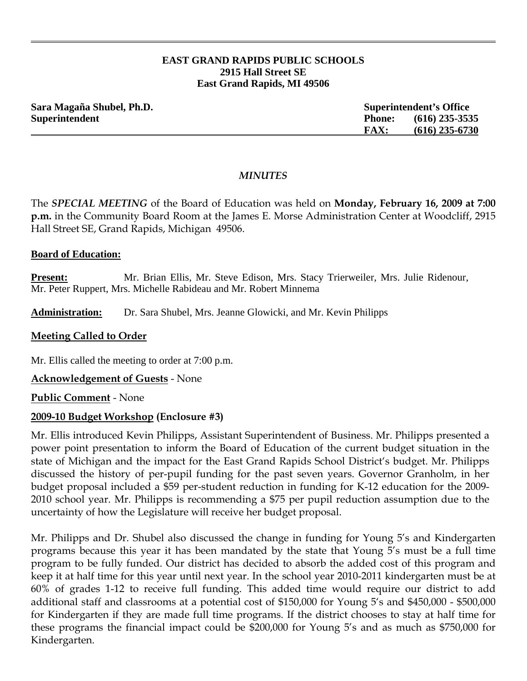#### **EAST GRAND RAPIDS PUBLIC SCHOOLS 2915 Hall Street SE East Grand Rapids, MI 49506**

| Sara Magaña Shubel, Ph.D. |               | <b>Superintendent's Office</b> |  |
|---------------------------|---------------|--------------------------------|--|
| Superintendent            | <b>Phone:</b> | $(616)$ 235-3535               |  |
|                           | <b>FAX:</b>   | $(616)$ 235-6730               |  |

### *MINUTES*

The *SPECIAL MEETING* of the Board of Education was held on **Monday, February 16, 2009 at 7:00 p.m.** in the Community Board Room at the James E. Morse Administration Center at Woodcliff, 2915 Hall Street SE, Grand Rapids, Michigan 49506.

#### **Board of Education:**

**Present:** Mr. Brian Ellis, Mr. Steve Edison, Mrs. Stacy Trierweiler, Mrs. Julie Ridenour, Mr. Peter Ruppert, Mrs. Michelle Rabideau and Mr. Robert Minnema

**Administration:** Dr. Sara Shubel, Mrs. Jeanne Glowicki, and Mr. Kevin Philipps

### **Meeting Called to Order**

Mr. Ellis called the meeting to order at 7:00 p.m.

**Acknowledgement of Guests** - None

**Public Comment** - None

## **2009-10 Budget Workshop (Enclosure #3)**

Mr. Ellis introduced Kevin Philipps, Assistant Superintendent of Business. Mr. Philipps presented a power point presentation to inform the Board of Education of the current budget situation in the state of Michigan and the impact for the East Grand Rapids School District's budget. Mr. Philipps discussed the history of per-pupil funding for the past seven years. Governor Granholm, in her budget proposal included a \$59 per-student reduction in funding for K-12 education for the 2009- 2010 school year. Mr. Philipps is recommending a \$75 per pupil reduction assumption due to the uncertainty of how the Legislature will receive her budget proposal.

Mr. Philipps and Dr. Shubel also discussed the change in funding for Young 5's and Kindergarten programs because this year it has been mandated by the state that Young 5's must be a full time program to be fully funded. Our district has decided to absorb the added cost of this program and keep it at half time for this year until next year. In the school year 2010-2011 kindergarten must be at 60% of grades 1-12 to receive full funding. This added time would require our district to add additional staff and classrooms at a potential cost of \$150,000 for Young 5's and \$450,000 - \$500,000 for Kindergarten if they are made full time programs. If the district chooses to stay at half time for these programs the financial impact could be \$200,000 for Young 5's and as much as \$750,000 for Kindergarten.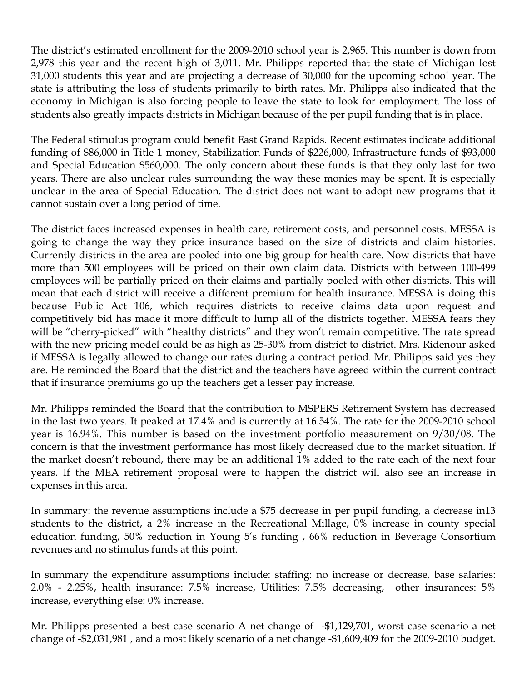The district's estimated enrollment for the 2009-2010 school year is 2,965. This number is down from 2,978 this year and the recent high of 3,011. Mr. Philipps reported that the state of Michigan lost 31,000 students this year and are projecting a decrease of 30,000 for the upcoming school year. The state is attributing the loss of students primarily to birth rates. Mr. Philipps also indicated that the economy in Michigan is also forcing people to leave the state to look for employment. The loss of students also greatly impacts districts in Michigan because of the per pupil funding that is in place.

The Federal stimulus program could benefit East Grand Rapids. Recent estimates indicate additional funding of \$86,000 in Title 1 money, Stabilization Funds of \$226,000, Infrastructure funds of \$93,000 and Special Education \$560,000. The only concern about these funds is that they only last for two years. There are also unclear rules surrounding the way these monies may be spent. It is especially unclear in the area of Special Education. The district does not want to adopt new programs that it cannot sustain over a long period of time.

The district faces increased expenses in health care, retirement costs, and personnel costs. MESSA is going to change the way they price insurance based on the size of districts and claim histories. Currently districts in the area are pooled into one big group for health care. Now districts that have more than 500 employees will be priced on their own claim data. Districts with between 100-499 employees will be partially priced on their claims and partially pooled with other districts. This will mean that each district will receive a different premium for health insurance. MESSA is doing this because Public Act 106, which requires districts to receive claims data upon request and competitively bid has made it more difficult to lump all of the districts together. MESSA fears they will be "cherry-picked" with "healthy districts" and they won't remain competitive. The rate spread with the new pricing model could be as high as 25-30% from district to district. Mrs. Ridenour asked if MESSA is legally allowed to change our rates during a contract period. Mr. Philipps said yes they are. He reminded the Board that the district and the teachers have agreed within the current contract that if insurance premiums go up the teachers get a lesser pay increase.

Mr. Philipps reminded the Board that the contribution to MSPERS Retirement System has decreased in the last two years. It peaked at 17.4% and is currently at 16.54%. The rate for the 2009-2010 school year is 16.94%. This number is based on the investment portfolio measurement on 9/30/08. The concern is that the investment performance has most likely decreased due to the market situation. If the market doesn't rebound, there may be an additional 1% added to the rate each of the next four years. If the MEA retirement proposal were to happen the district will also see an increase in expenses in this area.

In summary: the revenue assumptions include a \$75 decrease in per pupil funding, a decrease in13 students to the district, a 2% increase in the Recreational Millage, 0% increase in county special education funding, 50% reduction in Young 5's funding , 66% reduction in Beverage Consortium revenues and no stimulus funds at this point.

In summary the expenditure assumptions include: staffing: no increase or decrease, base salaries: 2.0% - 2.25%, health insurance: 7.5% increase, Utilities: 7.5% decreasing, other insurances: 5% increase, everything else: 0% increase.

Mr. Philipps presented a best case scenario A net change of -\$1,129,701, worst case scenario a net change of -\$2,031,981 , and a most likely scenario of a net change -\$1,609,409 for the 2009-2010 budget.